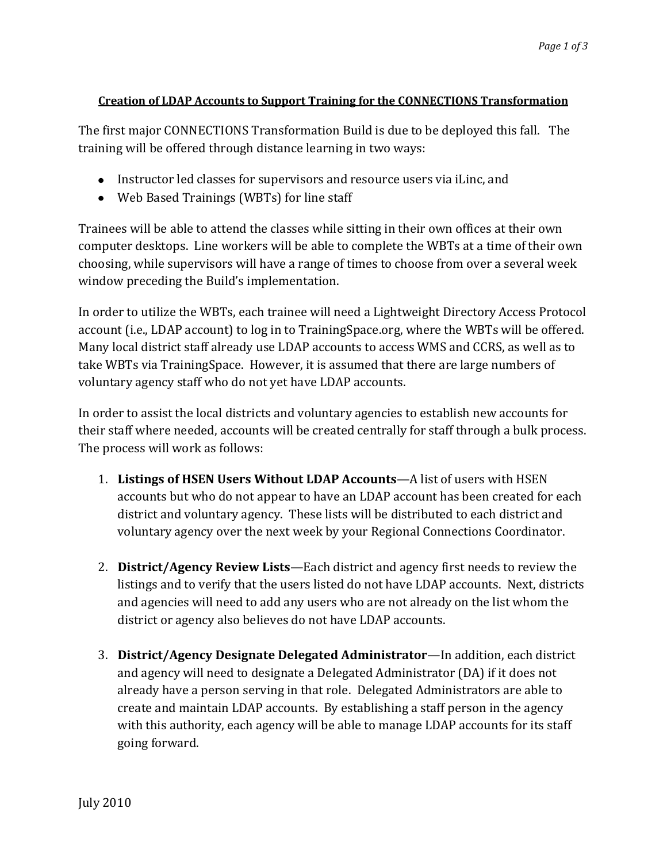## **Creation of LDAP Accounts to Support Training for the CONNECTIONS Transformation**

The first major CONNECTIONS Transformation Build is due to be deployed this fall. The training will be offered through distance learning in two ways:

- Instructor led classes for supervisors and resource users via iLinc, and
- Web Based Trainings (WBTs) for line staff

Trainees will be able to attend the classes while sitting in their own offices at their own computer desktops. Line workers will be able to complete the WBTs at a time of their own choosing, while supervisors will have a range of times to choose from over a several week window preceding the Build's implementation.

In order to utilize the WBTs, each trainee will need a Lightweight Directory Access Protocol account (i.e., LDAP account) to log in to TrainingSpace.org, where the WBTs will be offered. Many local district staff already use LDAP accounts to access WMS and CCRS, as well as to take WBTs via TrainingSpace. However, it is assumed that there are large numbers of voluntary agency staff who do not yet have LDAP accounts.

In order to assist the local districts and voluntary agencies to establish new accounts for their staff where needed, accounts will be created centrally for staff through a bulk process. The process will work as follows:

- 1. **Listings of HSEN Users Without LDAP Accounts**—A list of users with HSEN accounts but who do not appear to have an LDAP account has been created for each district and voluntary agency. These lists will be distributed to each district and voluntary agency over the next week by your Regional Connections Coordinator.
- 2. **District/Agency Review Lists**—Each district and agency first needs to review the listings and to verify that the users listed do not have LDAP accounts. Next, districts and agencies will need to add any users who are not already on the list whom the district or agency also believes do not have LDAP accounts.
- 3. **District/Agency Designate Delegated Administrator**—In addition, each district and agency will need to designate a Delegated Administrator (DA) if it does not already have a person serving in that role. Delegated Administrators are able to create and maintain LDAP accounts. By establishing a staff person in the agency with this authority, each agency will be able to manage LDAP accounts for its staff going forward.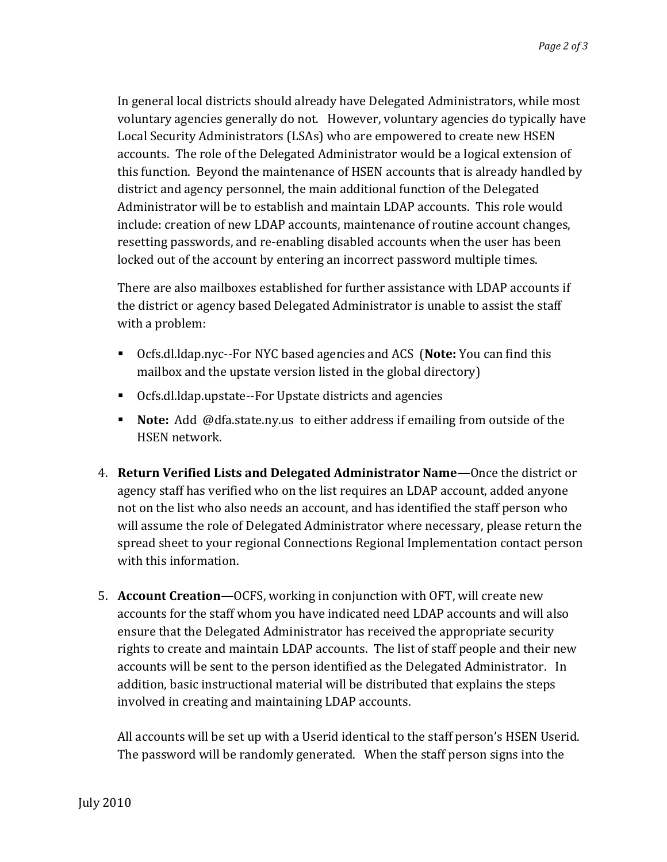In general local districts should already have Delegated Administrators, while most voluntary agencies generally do not. However, voluntary agencies do typically have Local Security Administrators (LSAs) who are empowered to create new HSEN accounts. The role of the Delegated Administrator would be a logical extension of this function. Beyond the maintenance of HSEN accounts that is already handled by district and agency personnel, the main additional function of the Delegated Administrator will be to establish and maintain LDAP accounts. This role would include: creation of new LDAP accounts, maintenance of routine account changes, resetting passwords, and re-enabling disabled accounts when the user has been locked out of the account by entering an incorrect password multiple times.

There are also mailboxes established for further assistance with LDAP accounts if the district or agency based Delegated Administrator is unable to assist the staff with a problem:

- Ocfs.dl.ldap.nyc--For NYC based agencies and ACS (**Note:** You can find this mailbox and the upstate version listed in the global directory)
- Ocfs.dl.ldap.upstate--For Upstate districts and agencies
- **Note:** Add @dfa.state.ny.us to either address if emailing from outside of the HSEN network.
- 4. **Return Verified Lists and Delegated Administrator Name—**Once the district or agency staff has verified who on the list requires an LDAP account, added anyone not on the list who also needs an account, and has identified the staff person who will assume the role of Delegated Administrator where necessary, please return the spread sheet to your regional Connections Regional Implementation contact person with this information.
- 5. **Account Creation—**OCFS, working in conjunction with OFT, will create new accounts for the staff whom you have indicated need LDAP accounts and will also ensure that the Delegated Administrator has received the appropriate security rights to create and maintain LDAP accounts. The list of staff people and their new accounts will be sent to the person identified as the Delegated Administrator. In addition, basic instructional material will be distributed that explains the steps involved in creating and maintaining LDAP accounts.

All accounts will be set up with a Userid identical to the staff person's HSEN Userid. The password will be randomly generated. When the staff person signs into the